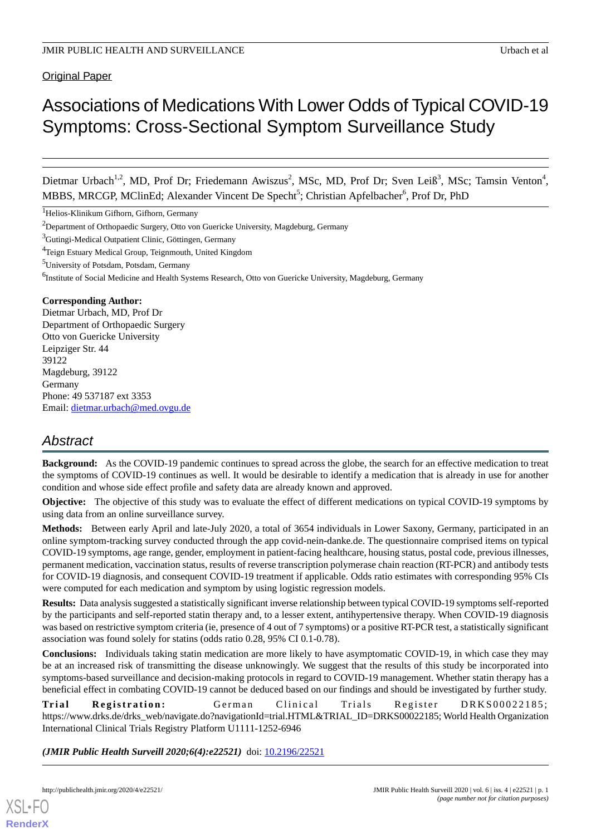Original Paper

# Associations of Medications With Lower Odds of Typical COVID-19 Symptoms: Cross-Sectional Symptom Surveillance Study

Dietmar Urbach<sup>1,2</sup>, MD, Prof Dr; Friedemann Awiszus<sup>2</sup>, MSc, MD, Prof Dr; Sven Leiß<sup>3</sup>, MSc; Tamsin Venton<sup>4</sup>, MBBS, MRCGP, MClinEd; Alexander Vincent De Specht<sup>5</sup>; Christian Apfelbacher<sup>6</sup>, Prof Dr, PhD

<sup>1</sup>Helios-Klinikum Gifhorn, Gifhorn, Germany

<sup>2</sup>Department of Orthopaedic Surgery, Otto von Guericke University, Magdeburg, Germany

<sup>3</sup>Gutingi-Medical Outpatient Clinic, Göttingen, Germany

<sup>4</sup>Teign Estuary Medical Group, Teignmouth, United Kingdom

<sup>5</sup>University of Potsdam, Potsdam, Germany

<sup>6</sup>Institute of Social Medicine and Health Systems Research, Otto von Guericke University, Magdeburg, Germany

#### **Corresponding Author:**

Dietmar Urbach, MD, Prof Dr Department of Orthopaedic Surgery Otto von Guericke University Leipziger Str. 44 39122 Magdeburg, 39122 Germany Phone: 49 537187 ext 3353 Email: [dietmar.urbach@med.ovgu.de](mailto:dietmar.urbach@med.ovgu.de)

# *Abstract*

**Background:** As the COVID-19 pandemic continues to spread across the globe, the search for an effective medication to treat the symptoms of COVID-19 continues as well. It would be desirable to identify a medication that is already in use for another condition and whose side effect profile and safety data are already known and approved.

**Objective:** The objective of this study was to evaluate the effect of different medications on typical COVID-19 symptoms by using data from an online surveillance survey.

**Methods:** Between early April and late-July 2020, a total of 3654 individuals in Lower Saxony, Germany, participated in an online symptom-tracking survey conducted through the app covid-nein-danke.de. The questionnaire comprised items on typical COVID-19 symptoms, age range, gender, employment in patient-facing healthcare, housing status, postal code, previous illnesses, permanent medication, vaccination status, results of reverse transcription polymerase chain reaction (RT-PCR) and antibody tests for COVID-19 diagnosis, and consequent COVID-19 treatment if applicable. Odds ratio estimates with corresponding 95% CIs were computed for each medication and symptom by using logistic regression models.

**Results:** Data analysis suggested a statistically significant inverse relationship between typical COVID-19 symptoms self-reported by the participants and self-reported statin therapy and, to a lesser extent, antihypertensive therapy. When COVID-19 diagnosis was based on restrictive symptom criteria (ie, presence of 4 out of 7 symptoms) or a positive RT-PCR test, a statistically significant association was found solely for statins (odds ratio 0.28, 95% CI 0.1-0.78).

**Conclusions:** Individuals taking statin medication are more likely to have asymptomatic COVID-19, in which case they may be at an increased risk of transmitting the disease unknowingly. We suggest that the results of this study be incorporated into symptoms-based surveillance and decision-making protocols in regard to COVID-19 management. Whether statin therapy has a beneficial effect in combating COVID-19 cannot be deduced based on our findings and should be investigated by further study.

**Trial Registration:** German Clinical Trials Register DRKS00022185; https://www.drks.de/drks\_web/navigate.do?navigationId=trial.HTML&TRIAL\_ID=DRKS00022185; World Health Organization International Clinical Trials Registry Platform U1111-1252-6946

*(JMIR Public Health Surveill 2020;6(4):e22521)* doi: [10.2196/22521](http://dx.doi.org/10.2196/22521)

[XSL](http://www.w3.org/Style/XSL)•FO **[RenderX](http://www.renderx.com/)**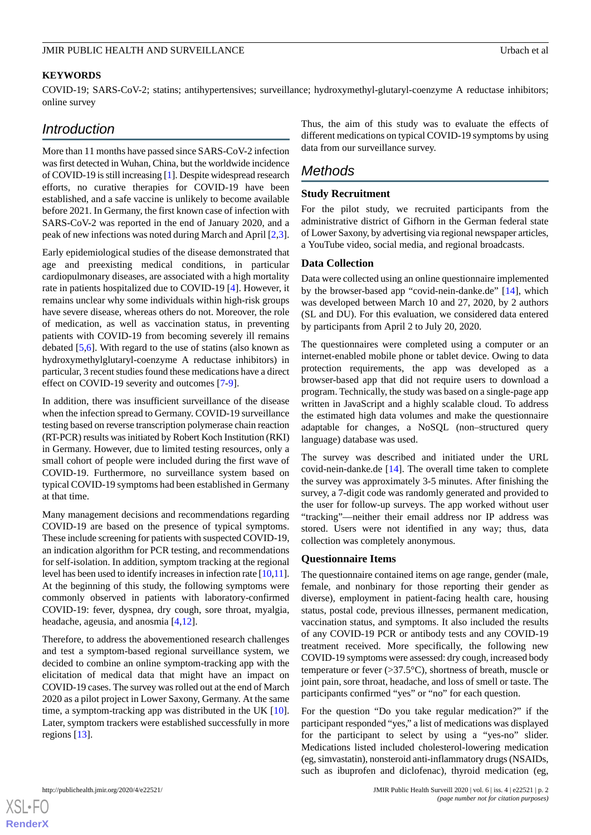#### **KEYWORDS**

COVID-19; SARS-CoV-2; statins; antihypertensives; surveillance; hydroxymethyl-glutaryl-coenzyme A reductase inhibitors; online survey

## *Introduction*

More than 11 months have passed since SARS-CoV-2 infection was first detected in Wuhan, China, but the worldwide incidence of COVID-19 is still increasing [\[1](#page-7-0)]. Despite widespread research efforts, no curative therapies for COVID-19 have been established, and a safe vaccine is unlikely to become available before 2021. In Germany, the first known case of infection with SARS-CoV-2 was reported in the end of January 2020, and a peak of new infections was noted during March and April [\[2](#page-7-1),[3\]](#page-7-2).

Early epidemiological studies of the disease demonstrated that age and preexisting medical conditions, in particular cardiopulmonary diseases, are associated with a high mortality rate in patients hospitalized due to COVID-19 [\[4](#page-7-3)]. However, it remains unclear why some individuals within high-risk groups have severe disease, whereas others do not. Moreover, the role of medication, as well as vaccination status, in preventing patients with COVID-19 from becoming severely ill remains debated [[5,](#page-7-4)[6](#page-7-5)]. With regard to the use of statins (also known as hydroxymethylglutaryl-coenzyme A reductase inhibitors) in particular, 3 recent studies found these medications have a direct effect on COVID-19 severity and outcomes [[7](#page-7-6)[-9](#page-7-7)].

In addition, there was insufficient surveillance of the disease when the infection spread to Germany. COVID-19 surveillance testing based on reverse transcription polymerase chain reaction (RT-PCR) results was initiated by Robert Koch Institution (RKI) in Germany. However, due to limited testing resources, only a small cohort of people were included during the first wave of COVID-19. Furthermore, no surveillance system based on typical COVID-19 symptoms had been established in Germany at that time.

Many management decisions and recommendations regarding COVID-19 are based on the presence of typical symptoms. These include screening for patients with suspected COVID-19, an indication algorithm for PCR testing, and recommendations for self-isolation. In addition, symptom tracking at the regional level has been used to identify increases in infection rate [\[10,](#page-7-8)[11\]](#page-7-9). At the beginning of this study, the following symptoms were commonly observed in patients with laboratory-confirmed COVID-19: fever, dyspnea, dry cough, sore throat, myalgia, headache, ageusia, and anosmia [[4](#page-7-3)[,12](#page-7-10)].

Therefore, to address the abovementioned research challenges and test a symptom-based regional surveillance system, we decided to combine an online symptom-tracking app with the elicitation of medical data that might have an impact on COVID-19 cases. The survey was rolled out at the end of March 2020 as a pilot project in Lower Saxony, Germany. At the same time, a symptom-tracking app was distributed in the UK [[10\]](#page-7-8). Later, symptom trackers were established successfully in more regions [[13\]](#page-7-11).

Thus, the aim of this study was to evaluate the effects of different medications on typical COVID-19 symptoms by using data from our surveillance survey.

# *Methods*

#### **Study Recruitment**

For the pilot study, we recruited participants from the administrative district of Gifhorn in the German federal state of Lower Saxony, by advertising via regional newspaper articles, a YouTube video, social media, and regional broadcasts.

#### **Data Collection**

Data were collected using an online questionnaire implemented by the browser-based app "covid-nein-danke.de" [\[14](#page-7-12)], which was developed between March 10 and 27, 2020, by 2 authors (SL and DU). For this evaluation, we considered data entered by participants from April 2 to July 20, 2020.

The questionnaires were completed using a computer or an internet-enabled mobile phone or tablet device. Owing to data protection requirements, the app was developed as a browser-based app that did not require users to download a program. Technically, the study was based on a single-page app written in JavaScript and a highly scalable cloud. To address the estimated high data volumes and make the questionnaire adaptable for changes, a NoSQL (non–structured query language) database was used.

The survey was described and initiated under the URL covid-nein-danke.de [[14\]](#page-7-12). The overall time taken to complete the survey was approximately 3-5 minutes. After finishing the survey, a 7-digit code was randomly generated and provided to the user for follow-up surveys. The app worked without user "tracking"—neither their email address nor IP address was stored. Users were not identified in any way; thus, data collection was completely anonymous.

#### **Questionnaire Items**

The questionnaire contained items on age range, gender (male, female, and nonbinary for those reporting their gender as diverse), employment in patient-facing health care, housing status, postal code, previous illnesses, permanent medication, vaccination status, and symptoms. It also included the results of any COVID-19 PCR or antibody tests and any COVID-19 treatment received. More specifically, the following new COVID-19 symptoms were assessed: dry cough, increased body temperature or fever (>37.5°C), shortness of breath, muscle or joint pain, sore throat, headache, and loss of smell or taste. The participants confirmed "yes" or "no" for each question.

For the question "Do you take regular medication?" if the participant responded "yes," a list of medications was displayed for the participant to select by using a "yes-no" slider. Medications listed included cholesterol-lowering medication (eg, simvastatin), nonsteroid anti-inflammatory drugs (NSAIDs, such as ibuprofen and diclofenac), thyroid medication (eg,

[XSL](http://www.w3.org/Style/XSL)•FO **[RenderX](http://www.renderx.com/)**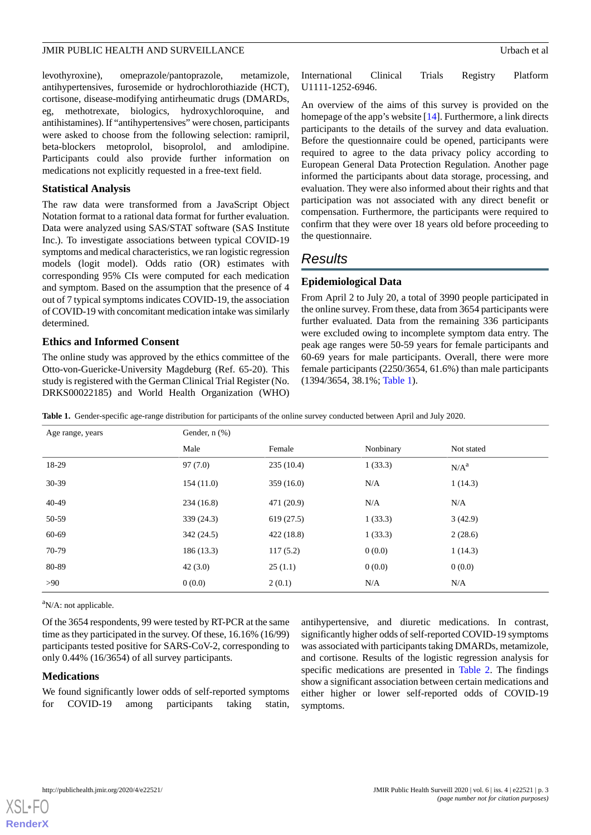levothyroxine), omeprazole/pantoprazole, metamizole, antihypertensives, furosemide or hydrochlorothiazide (HCT), cortisone, disease-modifying antirheumatic drugs (DMARDs, eg, methotrexate, biologics, hydroxychloroquine, and antihistamines). If "antihypertensives" were chosen, participants were asked to choose from the following selection: ramipril, beta-blockers metoprolol, bisoprolol, and amlodipine. Participants could also provide further information on medications not explicitly requested in a free-text field.

#### **Statistical Analysis**

The raw data were transformed from a JavaScript Object Notation format to a rational data format for further evaluation. Data were analyzed using SAS/STAT software (SAS Institute Inc.). To investigate associations between typical COVID-19 symptoms and medical characteristics, we ran logistic regression models (logit model). Odds ratio (OR) estimates with corresponding 95% CIs were computed for each medication and symptom. Based on the assumption that the presence of 4 out of 7 typical symptoms indicates COVID-19, the association of COVID-19 with concomitant medication intake was similarly determined.

#### **Ethics and Informed Consent**

<span id="page-2-0"></span>The online study was approved by the ethics committee of the Otto-von-Guericke-University Magdeburg (Ref. 65-20). This study is registered with the German Clinical Trial Register (No. DRKS00022185) and World Health Organization (WHO) International Clinical Trials Registry Platform U1111-1252-6946.

An overview of the aims of this survey is provided on the homepage of the app's website [\[14](#page-7-12)]. Furthermore, a link directs participants to the details of the survey and data evaluation. Before the questionnaire could be opened, participants were required to agree to the data privacy policy according to European General Data Protection Regulation. Another page informed the participants about data storage, processing, and evaluation. They were also informed about their rights and that participation was not associated with any direct benefit or compensation. Furthermore, the participants were required to confirm that they were over 18 years old before proceeding to the questionnaire.

# *Results*

#### **Epidemiological Data**

From April 2 to July 20, a total of 3990 people participated in the online survey. From these, data from 3654 participants were further evaluated. Data from the remaining 336 participants were excluded owing to incomplete symptom data entry. The peak age ranges were 50-59 years for female participants and 60-69 years for male participants. Overall, there were more female participants (2250/3654, 61.6%) than male participants (1394/3654, 38.1%; [Table 1](#page-2-0)).

**Table 1.** Gender-specific age-range distribution for participants of the online survey conducted between April and July 2020.

| Age range, years | Gender, $n$ $(\%)$ |            |           |                  |
|------------------|--------------------|------------|-----------|------------------|
|                  | Male               | Female     | Nonbinary | Not stated       |
| 18-29            | 97(7.0)            | 235(10.4)  | 1(33.3)   | N/A <sup>a</sup> |
| $30 - 39$        | 154(11.0)          | 359(16.0)  | N/A       | 1(14.3)          |
| 40-49            | 234(16.8)          | 471 (20.9) | N/A       | N/A              |
| 50-59            | 339 (24.3)         | 619(27.5)  | 1(33.3)   | 3(42.9)          |
| 60-69            | 342(24.5)          | 422(18.8)  | 1(33.3)   | 2(28.6)          |
| 70-79            | 186 (13.3)         | 117(5.2)   | 0(0.0)    | 1(14.3)          |
| 80-89            | 42(3.0)            | 25(1.1)    | 0(0.0)    | 0(0.0)           |
| >90              | 0(0.0)             | 2(0.1)     | N/A       | N/A              |

 $a$ N/A: not applicable.

Of the 3654 respondents, 99 were tested by RT-PCR at the same time as they participated in the survey. Of these, 16.16% (16/99) participants tested positive for SARS-CoV-2, corresponding to only 0.44% (16/3654) of all survey participants.

#### **Medications**

We found significantly lower odds of self-reported symptoms for COVID-19 among participants taking statin, antihypertensive, and diuretic medications. In contrast, significantly higher odds of self-reported COVID-19 symptoms was associated with participants taking DMARDs, metamizole, and cortisone. Results of the logistic regression analysis for specific medications are presented in [Table 2.](#page-3-0) The findings show a significant association between certain medications and either higher or lower self-reported odds of COVID-19 symptoms.

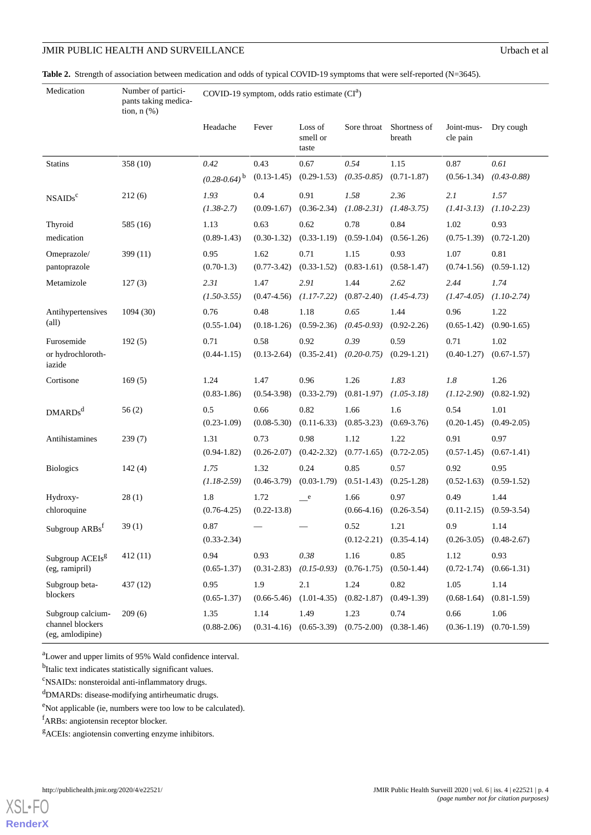#### JMIR PUBLIC HEALTH AND SURVEILLANCE Urbach et al

Medication

<span id="page-3-0"></span>Table 2. Strength of association between medication and odds of typical COVID-19 symptoms that were self-reported (N=3645).

Number of participants taking medica-

COVID-19 symptom, odds ratio estimate  $(CI<sup>a</sup>)$ 

|                                       | tion, $n$ $(\%)$ |                     |                 |                              |                 |                        |                        |                 |
|---------------------------------------|------------------|---------------------|-----------------|------------------------------|-----------------|------------------------|------------------------|-----------------|
|                                       |                  | Headache            | Fever           | Loss of<br>smell or<br>taste | Sore throat     | Shortness of<br>breath | Joint-mus-<br>cle pain | Dry cough       |
| <b>Statins</b>                        | 358 (10)         | 0.42                | 0.43            | 0.67                         | 0.54            | 1.15                   | 0.87                   | 0.61            |
|                                       |                  | $(0.28 - 0.64)^{b}$ | $(0.13-1.45)$   | $(0.29 - 1.53)$              | $(0.35 - 0.85)$ | $(0.71 - 1.87)$        | $(0.56-1.34)$          | $(0.43 - 0.88)$ |
| NSAIDS <sup>c</sup>                   | 212(6)           | 1.93                | 0.4             | 0.91                         | 1.58            | 2.36                   | 2.1                    | 1.57            |
|                                       |                  | $(1.38-2.7)$        | $(0.09-1.67)$   | $(0.36 - 2.34)$              | $(1.08 - 2.31)$ | $(1.48-3.75)$          | $(1.41 - 3.13)$        | $(1.10 - 2.23)$ |
| Thyroid                               | 585 (16)         | 1.13                | 0.63            | 0.62                         | 0.78            | 0.84                   | 1.02                   | 0.93            |
| medication                            |                  | $(0.89-1.43)$       | $(0.30-1.32)$   | $(0.33-1.19)$                | $(0.59-1.04)$   | $(0.56 - 1.26)$        | $(0.75-1.39)$          | $(0.72 - 1.20)$ |
| Omeprazole/                           | 399 (11)         | 0.95                | 1.62            | 0.71                         | 1.15            | 0.93                   | 1.07                   | 0.81            |
| pantoprazole                          |                  | $(0.70-1.3)$        | $(0.77 - 3.42)$ | $(0.33 - 1.52)$              | $(0.83 - 1.61)$ | $(0.58 - 1.47)$        | $(0.74 - 1.56)$        | $(0.59-1.12)$   |
| Metamizole                            | 127(3)           | 2.31                | 1.47            | 2.91                         | 1.44            | 2.62                   | 2.44                   | 1.74            |
|                                       |                  | $(1.50 - 3.55)$     | $(0.47 - 4.56)$ | $(1.17 - 7.22)$              | $(0.87 - 2.40)$ | $(1.45 - 4.73)$        | $(1.47 - 4.05)$        | $(1.10-2.74)$   |
| Antihypertensives                     | 1094 (30)        | 0.76                | 0.48            | 1.18                         | 0.65            | 1.44                   | 0.96                   | 1.22            |
| $\text{(all)}$                        |                  | $(0.55 - 1.04)$     | $(0.18-1.26)$   | $(0.59 - 2.36)$              | $(0.45 - 0.93)$ | $(0.92 - 2.26)$        | $(0.65 - 1.42)$        | $(0.90-1.65)$   |
| Furosemide                            | 192(5)           | 0.71                | 0.58            | 0.92                         | 0.39            | 0.59                   | 0.71                   | 1.02            |
| or hydrochloroth-<br>iazide           |                  | $(0.44 - 1.15)$     | $(0.13 - 2.64)$ | $(0.35 - 2.41)$              | $(0.20 - 0.75)$ | $(0.29-1.21)$          | $(0.40 - 1.27)$        | $(0.67 - 1.57)$ |
| Cortisone                             | 169(5)           | 1.24                | 1.47            | 0.96                         | 1.26            | 1.83                   | 1.8                    | 1.26            |
|                                       |                  | $(0.83 - 1.86)$     | $(0.54 - 3.98)$ | $(0.33 - 2.79)$              | $(0.81 - 1.97)$ | $(1.05 - 3.18)$        | $(1.12 - 2.90)$        | $(0.82 - 1.92)$ |
| DMARDs <sup>d</sup>                   | 56(2)            | 0.5                 | 0.66            | 0.82                         | 1.66            | 1.6                    | 0.54                   | 1.01            |
|                                       |                  | $(0.23 - 1.09)$     | $(0.08 - 5.30)$ | $(0.11-6.33)$                | $(0.85 - 3.23)$ | $(0.69 - 3.76)$        | $(0.20-1.45)$          | $(0.49 - 2.05)$ |
| Antihistamines                        | 239(7)           | 1.31                | 0.73            | 0.98                         | 1.12            | 1.22                   | 0.91                   | 0.97            |
|                                       |                  | $(0.94 - 1.82)$     | $(0.26 - 2.07)$ | $(0.42 - 2.32)$              | $(0.77-1.65)$   | $(0.72 - 2.05)$        | $(0.57-1.45)$          | $(0.67-1.41)$   |
| <b>Biologics</b>                      | 142(4)           | 1.75                | 1.32            | 0.24                         | 0.85            | 0.57                   | 0.92                   | 0.95            |
|                                       |                  | $(1.18-2.59)$       | $(0.46 - 3.79)$ | $(0.03-1.79)$                | $(0.51 - 1.43)$ | $(0.25-1.28)$          | $(0.52 - 1.63)$        | $(0.59-1.52)$   |
| Hydroxy-                              | 28(1)            | 1.8                 | 1.72            | e                            | 1.66            | 0.97                   | 0.49                   | 1.44            |
| chloroquine                           |                  | $(0.76 - 4.25)$     | $(0.22 - 13.8)$ |                              | $(0.66-4.16)$   | $(0.26 - 3.54)$        | $(0.11-2.15)$          | $(0.59 - 3.54)$ |
| Subgroup ARBs <sup>1</sup>            | 39(1)            | 0.87                |                 |                              | 0.52            | 1.21                   | 0.9                    | 1.14            |
|                                       |                  | $(0.33 - 2.34)$     |                 |                              | $(0.12 - 2.21)$ | $(0.35-4.14)$          | $(0.26 - 3.05)$        | $(0.48 - 2.67)$ |
| Subgroup ACEIs <sup>g</sup>           | 412 (11)         | 0.94                | 0.93            | $0.38\,$                     | 1.16            | 0.85                   | 1.12                   | 0.93            |
| (eg, ramipril)                        |                  | $(0.65 - 1.37)$     | $(0.31 - 2.83)$ | $(0.15 - 0.93)$              | $(0.76 - 1.75)$ | $(0.50 - 1.44)$        | $(0.72 - 1.74)$        | $(0.66 - 1.31)$ |
| Subgroup beta-<br>blockers            | 437 (12)         | 0.95                | 1.9             | 2.1                          | 1.24            | 0.82                   | 1.05                   | 1.14            |
|                                       |                  | $(0.65 - 1.37)$     | $(0.66 - 5.46)$ | $(1.01-4.35)$                | $(0.82 - 1.87)$ | $(0.49-1.39)$          | $(0.68 - 1.64)$        | $(0.81 - 1.59)$ |
| Subgroup calcium-<br>channel blockers | 209(6)           | 1.35                | 1.14            | 1.49                         | 1.23            | 0.74                   | 0.66                   | 1.06            |
| (eg, amlodipine)                      |                  | $(0.88 - 2.06)$     | $(0.31 - 4.16)$ | $(0.65 - 3.39)$              | $(0.75 - 2.00)$ | $(0.38 - 1.46)$        | $(0.36-1.19)$          | $(0.70-1.59)$   |

<sup>a</sup>Lower and upper limits of 95% Wald confidence interval.

<sup>b</sup>Italic text indicates statistically significant values.

<sup>c</sup>NSAIDs: nonsteroidal anti-inflammatory drugs.

<sup>d</sup>DMARDs: disease-modifying antirheumatic drugs.

<sup>e</sup>Not applicable (ie, numbers were too low to be calculated).

<sup>f</sup>ARBs: angiotensin receptor blocker.

<sup>g</sup>ACEIs: angiotensin converting enzyme inhibitors.

[XSL](http://www.w3.org/Style/XSL)•FO **[RenderX](http://www.renderx.com/)**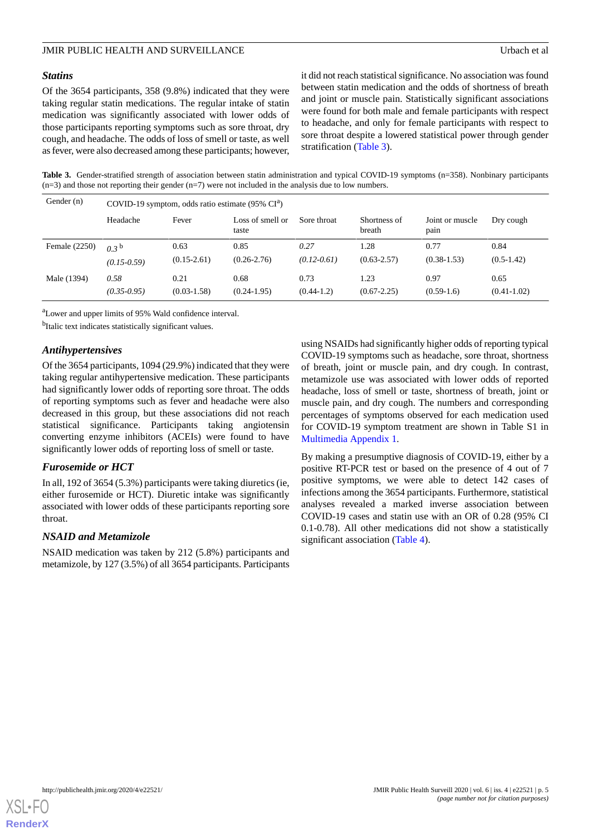#### *Statins*

Of the 3654 participants, 358 (9.8%) indicated that they were taking regular statin medications. The regular intake of statin medication was significantly associated with lower odds of those participants reporting symptoms such as sore throat, dry cough, and headache. The odds of loss of smell or taste, as well as fever, were also decreased among these participants; however,

it did not reach statistical significance. No association was found between statin medication and the odds of shortness of breath and joint or muscle pain. Statistically significant associations were found for both male and female participants with respect to headache, and only for female participants with respect to sore throat despite a lowered statistical power through gender stratification ([Table 3](#page-4-0)).

<span id="page-4-0"></span>Table 3. Gender-stratified strength of association between statin administration and typical COVID-19 symptoms (n=358). Nonbinary participants  $(n=3)$  and those not reporting their gender  $(n=7)$  were not included in the analysis due to low numbers.

| Gender (n)    | COVID-19 symptom, odds ratio estimate $(95\% \text{ CI}^{a})$ |                         |                           |                         |                         |                         |                         |
|---------------|---------------------------------------------------------------|-------------------------|---------------------------|-------------------------|-------------------------|-------------------------|-------------------------|
|               | Headache                                                      | Fever                   | Loss of smell or<br>taste | Sore throat             | Shortness of<br>breath  | Joint or muscle<br>pain | Dry cough               |
| Female (2250) | 03 <sup>b</sup>                                               | 0.63<br>$(0.15 - 2.61)$ | 0.85<br>$(0.26 - 2.76)$   | 0.27<br>$(0.12 - 0.61)$ | 1.28<br>$(0.63 - 2.57)$ | 0.77<br>$(0.38 - 1.53)$ | 0.84<br>$(0.5-1.42)$    |
|               | $(0.15 - 0.59)$                                               |                         |                           |                         |                         |                         |                         |
| Male (1394)   | 0.58<br>$(0.35 - 0.95)$                                       | 0.21<br>$(0.03 - 1.58)$ | 0.68<br>$(0.24 - 1.95)$   | 0.73<br>$(0.44-1.2)$    | 1.23<br>$(0.67 - 2.25)$ | 0.97<br>$(0.59-1.6)$    | 0.65<br>$(0.41 - 1.02)$ |
|               |                                                               |                         |                           |                         |                         |                         |                         |

<sup>a</sup>Lower and upper limits of 95% Wald confidence interval.

<sup>b</sup>Italic text indicates statistically significant values.

#### *Antihypertensives*

Of the 3654 participants, 1094 (29.9%) indicated that they were taking regular antihypertensive medication. These participants had significantly lower odds of reporting sore throat. The odds of reporting symptoms such as fever and headache were also decreased in this group, but these associations did not reach statistical significance. Participants taking angiotensin converting enzyme inhibitors (ACEIs) were found to have significantly lower odds of reporting loss of smell or taste.

#### *Furosemide or HCT*

In all, 192 of 3654 (5.3%) participants were taking diuretics (ie, either furosemide or HCT). Diuretic intake was significantly associated with lower odds of these participants reporting sore throat.

#### *NSAID and Metamizole*

NSAID medication was taken by 212 (5.8%) participants and metamizole, by 127 (3.5%) of all 3654 participants. Participants using NSAIDs had significantly higher odds of reporting typical COVID-19 symptoms such as headache, sore throat, shortness of breath, joint or muscle pain, and dry cough. In contrast, metamizole use was associated with lower odds of reported headache, loss of smell or taste, shortness of breath, joint or muscle pain, and dry cough. The numbers and corresponding percentages of symptoms observed for each medication used for COVID-19 symptom treatment are shown in Table S1 in [Multimedia Appendix 1.](#page-7-13)

By making a presumptive diagnosis of COVID-19, either by a positive RT-PCR test or based on the presence of 4 out of 7 positive symptoms, we were able to detect 142 cases of infections among the 3654 participants. Furthermore, statistical analyses revealed a marked inverse association between COVID-19 cases and statin use with an OR of 0.28 (95% CI 0.1-0.78). All other medications did not show a statistically significant association [\(Table 4\)](#page-5-0).

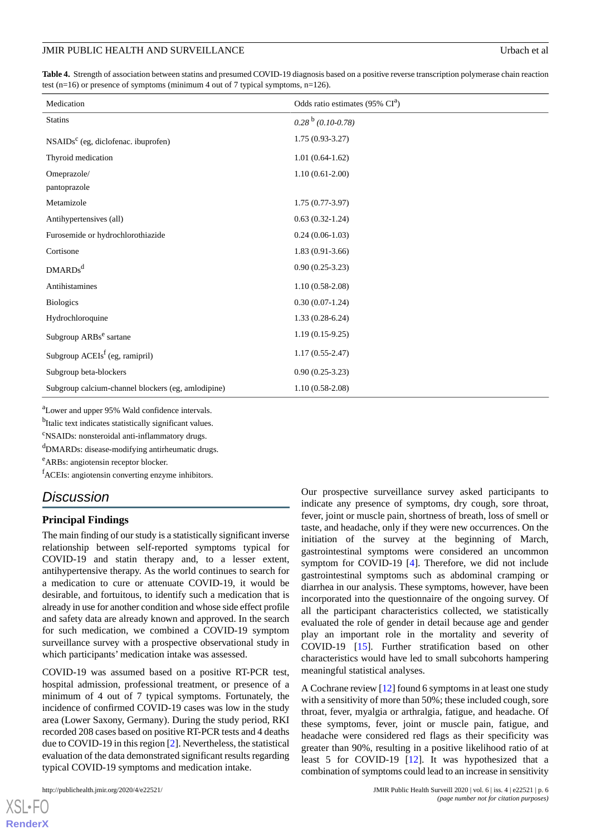<span id="page-5-0"></span>**Table 4.** Strength of association between statins and presumed COVID-19 diagnosis based on a positive reverse transcription polymerase chain reaction test (n=16) or presence of symptoms (minimum 4 out of 7 typical symptoms, n=126).

| Medication                                         | Odds ratio estimates (95% CI <sup>a</sup> ) |
|----------------------------------------------------|---------------------------------------------|
| <b>Statins</b>                                     | $0.28^{b}$ (0.10-0.78)                      |
| $NSAIDSc$ (eg, diclofenac. ibuprofen)              | $1.75(0.93-3.27)$                           |
| Thyroid medication                                 | $1.01(0.64-1.62)$                           |
| Omeprazole/                                        | $1.10(0.61-2.00)$                           |
| pantoprazole                                       |                                             |
| Metamizole                                         | $1.75(0.77-3.97)$                           |
| Antihypertensives (all)                            | $0.63(0.32-1.24)$                           |
| Furosemide or hydrochlorothiazide                  | $0.24(0.06-1.03)$                           |
| Cortisone                                          | $1.83(0.91-3.66)$                           |
| $DMARDs^d$                                         | $0.90(0.25-3.23)$                           |
| Antihistamines                                     | $1.10(0.58-2.08)$                           |
| <b>Biologics</b>                                   | $0.30(0.07-1.24)$                           |
| Hydrochloroquine                                   | $1.33(0.28-6.24)$                           |
| Subgroup ARBs <sup>e</sup> sartane                 | $1.19(0.15-9.25)$                           |
| Subgroup $ACEIsf$ (eg, ramipril)                   | $1.17(0.55-2.47)$                           |
| Subgroup beta-blockers                             | $0.90(0.25-3.23)$                           |
| Subgroup calcium-channel blockers (eg, amlodipine) | $1.10(0.58-2.08)$                           |

<sup>a</sup>Lower and upper 95% Wald confidence intervals.

<sup>b</sup>Italic text indicates statistically significant values.

<sup>c</sup>NSAIDs: nonsteroidal anti-inflammatory drugs.

<sup>d</sup>DMARDs: disease-modifying antirheumatic drugs.

<sup>e</sup>ARBs: angiotensin receptor blocker.

<sup>f</sup>ACEIs: angiotensin converting enzyme inhibitors.

# *Discussion*

#### **Principal Findings**

The main finding of our study is a statistically significant inverse relationship between self-reported symptoms typical for COVID-19 and statin therapy and, to a lesser extent, antihypertensive therapy. As the world continues to search for a medication to cure or attenuate COVID-19, it would be desirable, and fortuitous, to identify such a medication that is already in use for another condition and whose side effect profile and safety data are already known and approved. In the search for such medication, we combined a COVID-19 symptom surveillance survey with a prospective observational study in which participants' medication intake was assessed.

COVID-19 was assumed based on a positive RT-PCR test, hospital admission, professional treatment, or presence of a minimum of 4 out of 7 typical symptoms. Fortunately, the incidence of confirmed COVID-19 cases was low in the study area (Lower Saxony, Germany). During the study period, RKI recorded 208 cases based on positive RT-PCR tests and 4 deaths due to COVID-19 in this region [\[2](#page-7-1)]. Nevertheless, the statistical evaluation of the data demonstrated significant results regarding typical COVID-19 symptoms and medication intake.

Our prospective surveillance survey asked participants to indicate any presence of symptoms, dry cough, sore throat, fever, joint or muscle pain, shortness of breath, loss of smell or taste, and headache, only if they were new occurrences. On the initiation of the survey at the beginning of March, gastrointestinal symptoms were considered an uncommon symptom for COVID-19 [[4\]](#page-7-3). Therefore, we did not include gastrointestinal symptoms such as abdominal cramping or diarrhea in our analysis. These symptoms, however, have been incorporated into the questionnaire of the ongoing survey. Of all the participant characteristics collected, we statistically evaluated the role of gender in detail because age and gender play an important role in the mortality and severity of COVID-19 [\[15](#page-7-14)]. Further stratification based on other characteristics would have led to small subcohorts hampering meaningful statistical analyses.

A Cochrane review [\[12](#page-7-10)] found 6 symptoms in at least one study with a sensitivity of more than 50%; these included cough, sore throat, fever, myalgia or arthralgia, fatigue, and headache. Of these symptoms, fever, joint or muscle pain, fatigue, and headache were considered red flags as their specificity was greater than 90%, resulting in a positive likelihood ratio of at least 5 for COVID-19 [[12\]](#page-7-10). It was hypothesized that a combination of symptoms could lead to an increase in sensitivity

 $XS$  • F( **[RenderX](http://www.renderx.com/)**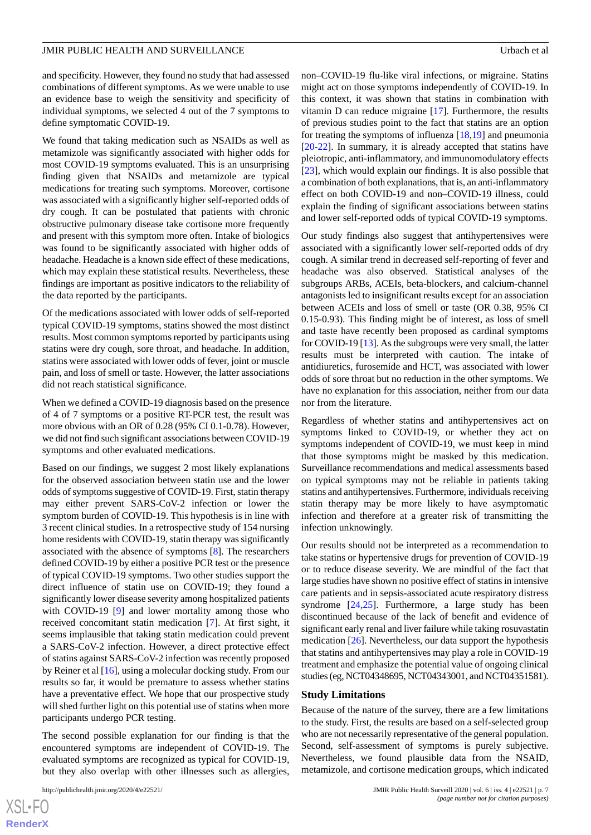and specificity. However, they found no study that had assessed combinations of different symptoms. As we were unable to use an evidence base to weigh the sensitivity and specificity of individual symptoms, we selected 4 out of the 7 symptoms to define symptomatic COVID-19.

We found that taking medication such as NSAIDs as well as metamizole was significantly associated with higher odds for most COVID-19 symptoms evaluated. This is an unsurprising finding given that NSAIDs and metamizole are typical medications for treating such symptoms. Moreover, cortisone was associated with a significantly higher self-reported odds of dry cough. It can be postulated that patients with chronic obstructive pulmonary disease take cortisone more frequently and present with this symptom more often. Intake of biologics was found to be significantly associated with higher odds of headache. Headache is a known side effect of these medications, which may explain these statistical results. Nevertheless, these findings are important as positive indicators to the reliability of the data reported by the participants.

Of the medications associated with lower odds of self-reported typical COVID-19 symptoms, statins showed the most distinct results. Most common symptoms reported by participants using statins were dry cough, sore throat, and headache. In addition, statins were associated with lower odds of fever, joint or muscle pain, and loss of smell or taste. However, the latter associations did not reach statistical significance.

When we defined a COVID-19 diagnosis based on the presence of 4 of 7 symptoms or a positive RT-PCR test, the result was more obvious with an OR of 0.28 (95% CI 0.1-0.78). However, we did not find such significant associations between COVID-19 symptoms and other evaluated medications.

Based on our findings, we suggest 2 most likely explanations for the observed association between statin use and the lower odds of symptoms suggestive of COVID-19. First, statin therapy may either prevent SARS-CoV-2 infection or lower the symptom burden of COVID-19. This hypothesis is in line with 3 recent clinical studies. In a retrospective study of 154 nursing home residents with COVID-19, statin therapy was significantly associated with the absence of symptoms [[8\]](#page-7-15). The researchers defined COVID-19 by either a positive PCR test or the presence of typical COVID-19 symptoms. Two other studies support the direct influence of statin use on COVID-19; they found a significantly lower disease severity among hospitalized patients with COVID-19 [\[9](#page-7-7)] and lower mortality among those who received concomitant statin medication [\[7](#page-7-6)]. At first sight, it seems implausible that taking statin medication could prevent a SARS-CoV-2 infection. However, a direct protective effect of statins against SARS-CoV-2 infection was recently proposed by Reiner et al [[16\]](#page-8-0), using a molecular docking study. From our results so far, it would be premature to assess whether statins have a preventative effect. We hope that our prospective study will shed further light on this potential use of statins when more participants undergo PCR testing.

The second possible explanation for our finding is that the encountered symptoms are independent of COVID-19. The evaluated symptoms are recognized as typical for COVID-19, but they also overlap with other illnesses such as allergies,

[XSL](http://www.w3.org/Style/XSL)•FO **[RenderX](http://www.renderx.com/)**

non–COVID-19 flu-like viral infections, or migraine. Statins might act on those symptoms independently of COVID-19. In this context, it was shown that statins in combination with vitamin D can reduce migraine [[17\]](#page-8-1). Furthermore, the results of previous studies point to the fact that statins are an option for treating the symptoms of influenza  $[18,19]$  $[18,19]$  $[18,19]$  and pneumonia [[20](#page-8-4)[-22](#page-8-5)]. In summary, it is already accepted that statins have pleiotropic, anti-inflammatory, and immunomodulatory effects [[23\]](#page-8-6), which would explain our findings. It is also possible that a combination of both explanations, that is, an anti-inflammatory effect on both COVID-19 and non–COVID-19 illness, could explain the finding of significant associations between statins and lower self-reported odds of typical COVID-19 symptoms.

Our study findings also suggest that antihypertensives were associated with a significantly lower self-reported odds of dry cough. A similar trend in decreased self-reporting of fever and headache was also observed. Statistical analyses of the subgroups ARBs, ACEIs, beta-blockers, and calcium-channel antagonists led to insignificant results except for an association between ACEIs and loss of smell or taste (OR 0.38, 95% CI 0.15-0.93). This finding might be of interest, as loss of smell and taste have recently been proposed as cardinal symptoms for COVID-19 [\[13\]](#page-7-11). As the subgroups were very small, the latter results must be interpreted with caution. The intake of antidiuretics, furosemide and HCT, was associated with lower odds of sore throat but no reduction in the other symptoms. We have no explanation for this association, neither from our data nor from the literature.

Regardless of whether statins and antihypertensives act on symptoms linked to COVID-19, or whether they act on symptoms independent of COVID-19, we must keep in mind that those symptoms might be masked by this medication. Surveillance recommendations and medical assessments based on typical symptoms may not be reliable in patients taking statins and antihypertensives. Furthermore, individuals receiving statin therapy may be more likely to have asymptomatic infection and therefore at a greater risk of transmitting the infection unknowingly.

Our results should not be interpreted as a recommendation to take statins or hypertensive drugs for prevention of COVID-19 or to reduce disease severity. We are mindful of the fact that large studies have shown no positive effect of statins in intensive care patients and in sepsis-associated acute respiratory distress syndrome  $[24,25]$  $[24,25]$  $[24,25]$ . Furthermore, a large study has been discontinued because of the lack of benefit and evidence of significant early renal and liver failure while taking rosuvastatin medication [[26\]](#page-8-9). Nevertheless, our data support the hypothesis that statins and antihypertensives may play a role in COVID-19 treatment and emphasize the potential value of ongoing clinical studies (eg, NCT04348695, NCT04343001, and NCT04351581).

#### **Study Limitations**

Because of the nature of the survey, there are a few limitations to the study. First, the results are based on a self-selected group who are not necessarily representative of the general population. Second, self-assessment of symptoms is purely subjective. Nevertheless, we found plausible data from the NSAID, metamizole, and cortisone medication groups, which indicated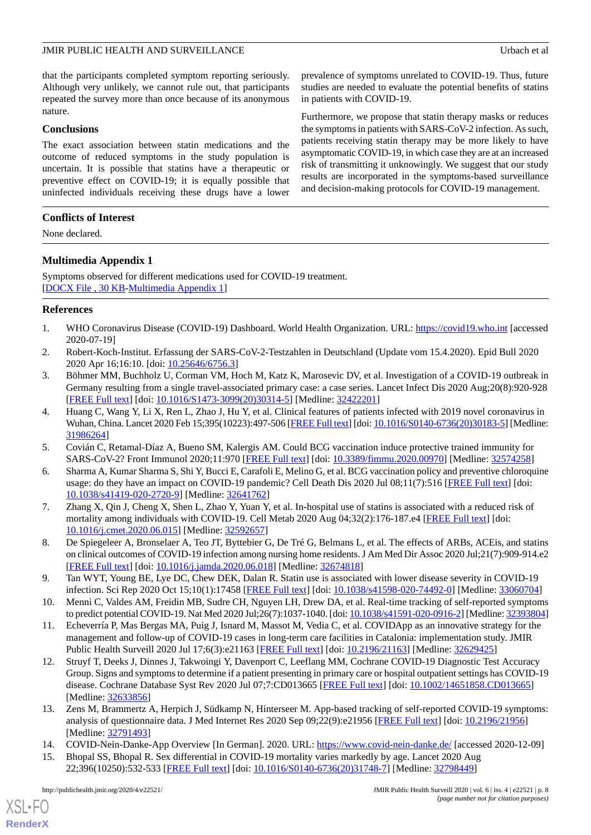#### JMIR PUBLIC HEALTH AND SURVEILLANCE USE AND SURVEILLANCE USE A LOCAL CHARGE USE AND LOCAL CHARGE USE AND SURVEILLANCE

that the participants completed symptom reporting seriously. Although very unlikely, we cannot rule out, that participants repeated the survey more than once because of its anonymous nature.

#### **Conclusions**

The exact association between statin medications and the outcome of reduced symptoms in the study population is uncertain. It is possible that statins have a therapeutic or preventive effect on COVID-19; it is equally possible that uninfected individuals receiving these drugs have a lower

#### **Conflicts of Interest**

<span id="page-7-13"></span>None declared.

#### **Multimedia Appendix 1**

Symptoms observed for different medications used for COVID-19 treatment. [[DOCX File , 30 KB](https://jmir.org/api/download?alt_name=publichealth_v6i4e22521_app1.docx&filename=ebf58517a8f2d39acfd4aa805cd9abc7.docx)-[Multimedia Appendix 1\]](https://jmir.org/api/download?alt_name=publichealth_v6i4e22521_app1.docx&filename=ebf58517a8f2d39acfd4aa805cd9abc7.docx)

#### <span id="page-7-1"></span><span id="page-7-0"></span>**References**

- <span id="page-7-2"></span>1. WHO Coronavirus Disease (COVID-19) Dashboard. World Health Organization. URL: <https://covid19.who.int> [accessed 2020-07-19]
- 2. Robert-Koch-Institut. Erfassung der SARS-CoV-2-Testzahlen in Deutschland (Update vom 15.4.2020). Epid Bull 2020 2020 Apr 16;16:10. [doi: [10.25646/6756.3\]](http://dx.doi.org/10.25646/6756.3)
- <span id="page-7-3"></span>3. Böhmer MM, Buchholz U, Corman VM, Hoch M, Katz K, Marosevic DV, et al. Investigation of a COVID-19 outbreak in Germany resulting from a single travel-associated primary case: a case series. Lancet Infect Dis 2020 Aug;20(8):920-928 [[FREE Full text](http://europepmc.org/abstract/MED/32422201)] [doi: [10.1016/S1473-3099\(20\)30314-5\]](http://dx.doi.org/10.1016/S1473-3099(20)30314-5) [Medline: [32422201](http://www.ncbi.nlm.nih.gov/entrez/query.fcgi?cmd=Retrieve&db=PubMed&list_uids=32422201&dopt=Abstract)]
- <span id="page-7-5"></span><span id="page-7-4"></span>4. Huang C, Wang Y, Li X, Ren L, Zhao J, Hu Y, et al. Clinical features of patients infected with 2019 novel coronavirus in Wuhan, China. Lancet 2020 Feb 15;395(10223):497-506 [[FREE Full text](https://linkinghub.elsevier.com/retrieve/pii/S0140-6736(20)30183-5)] [doi: [10.1016/S0140-6736\(20\)30183-5\]](http://dx.doi.org/10.1016/S0140-6736(20)30183-5) [Medline: [31986264](http://www.ncbi.nlm.nih.gov/entrez/query.fcgi?cmd=Retrieve&db=PubMed&list_uids=31986264&dopt=Abstract)]
- <span id="page-7-6"></span>5. Covián C, Retamal-Díaz A, Bueno SM, Kalergis AM. Could BCG vaccination induce protective trained immunity for SARS-CoV-2? Front Immunol 2020;11:970 [[FREE Full text](https://doi.org/10.3389/fimmu.2020.00970)] [doi: [10.3389/fimmu.2020.00970](http://dx.doi.org/10.3389/fimmu.2020.00970)] [Medline: [32574258\]](http://www.ncbi.nlm.nih.gov/entrez/query.fcgi?cmd=Retrieve&db=PubMed&list_uids=32574258&dopt=Abstract)
- <span id="page-7-15"></span>6. Sharma A, Kumar Sharma S, Shi Y, Bucci E, Carafoli E, Melino G, et al. BCG vaccination policy and preventive chloroquine usage: do they have an impact on COVID-19 pandemic? Cell Death Dis 2020 Jul 08;11(7):516 [\[FREE Full text\]](https://doi.org/10.1038/s41419-020-2720-9) [doi: [10.1038/s41419-020-2720-9\]](http://dx.doi.org/10.1038/s41419-020-2720-9) [Medline: [32641762](http://www.ncbi.nlm.nih.gov/entrez/query.fcgi?cmd=Retrieve&db=PubMed&list_uids=32641762&dopt=Abstract)]
- <span id="page-7-7"></span>7. Zhang X, Qin J, Cheng X, Shen L, Zhao Y, Yuan Y, et al. In-hospital use of statins is associated with a reduced risk of mortality among individuals with COVID-19. Cell Metab 2020 Aug 04;32(2):176-187.e4 [[FREE Full text](http://europepmc.org/abstract/MED/32592657)] [doi: [10.1016/j.cmet.2020.06.015](http://dx.doi.org/10.1016/j.cmet.2020.06.015)] [Medline: [32592657\]](http://www.ncbi.nlm.nih.gov/entrez/query.fcgi?cmd=Retrieve&db=PubMed&list_uids=32592657&dopt=Abstract)
- <span id="page-7-8"></span>8. De Spiegeleer A, Bronselaer A, Teo JT, Byttebier G, De Tré G, Belmans L, et al. The effects of ARBs, ACEis, and statins on clinical outcomes of COVID-19 infection among nursing home residents. J Am Med Dir Assoc 2020 Jul;21(7):909-914.e2 [[FREE Full text](http://europepmc.org/abstract/MED/32674818)] [doi: [10.1016/j.jamda.2020.06.018\]](http://dx.doi.org/10.1016/j.jamda.2020.06.018) [Medline: [32674818\]](http://www.ncbi.nlm.nih.gov/entrez/query.fcgi?cmd=Retrieve&db=PubMed&list_uids=32674818&dopt=Abstract)
- <span id="page-7-9"></span>9. Tan WYT, Young BE, Lye DC, Chew DEK, Dalan R. Statin use is associated with lower disease severity in COVID-19 infection. Sci Rep 2020 Oct 15;10(1):17458 [\[FREE Full text\]](https://doi.org/10.1038/s41598-020-74492-0) [doi: [10.1038/s41598-020-74492-0](http://dx.doi.org/10.1038/s41598-020-74492-0)] [Medline: [33060704](http://www.ncbi.nlm.nih.gov/entrez/query.fcgi?cmd=Retrieve&db=PubMed&list_uids=33060704&dopt=Abstract)]
- <span id="page-7-10"></span>10. Menni C, Valdes AM, Freidin MB, Sudre CH, Nguyen LH, Drew DA, et al. Real-time tracking of self-reported symptoms to predict potential COVID-19. Nat Med 2020 Jul;26(7):1037-1040. [doi: [10.1038/s41591-020-0916-2](http://dx.doi.org/10.1038/s41591-020-0916-2)] [Medline: [32393804\]](http://www.ncbi.nlm.nih.gov/entrez/query.fcgi?cmd=Retrieve&db=PubMed&list_uids=32393804&dopt=Abstract)
- <span id="page-7-11"></span>11. Echeverría P, Mas Bergas MA, Puig J, Isnard M, Massot M, Vedia C, et al. COVIDApp as an innovative strategy for the management and follow-up of COVID-19 cases in long-term care facilities in Catalonia: implementation study. JMIR Public Health Surveill 2020 Jul 17;6(3):e21163 [[FREE Full text](https://publichealth.jmir.org/2020/3/e21163/)] [doi: [10.2196/21163\]](http://dx.doi.org/10.2196/21163) [Medline: [32629425\]](http://www.ncbi.nlm.nih.gov/entrez/query.fcgi?cmd=Retrieve&db=PubMed&list_uids=32629425&dopt=Abstract)
- <span id="page-7-14"></span><span id="page-7-12"></span>12. Struyf T, Deeks J, Dinnes J, Takwoingi Y, Davenport C, Leeflang MM, Cochrane COVID-19 Diagnostic Test Accuracy Group. Signs and symptoms to determine if a patient presenting in primary care or hospital outpatient settings has COVID-19 disease. Cochrane Database Syst Rev 2020 Jul 07;7:CD013665 [\[FREE Full text\]](http://europepmc.org/abstract/MED/32633856) [doi: [10.1002/14651858.CD013665\]](http://dx.doi.org/10.1002/14651858.CD013665) [Medline: [32633856](http://www.ncbi.nlm.nih.gov/entrez/query.fcgi?cmd=Retrieve&db=PubMed&list_uids=32633856&dopt=Abstract)]
- 13. Zens M, Brammertz A, Herpich J, Südkamp N, Hinterseer M. App-based tracking of self-reported COVID-19 symptoms: analysis of questionnaire data. J Med Internet Res 2020 Sep 09;22(9):e21956 [[FREE Full text](https://www.jmir.org/2020/9/e21956/)] [doi: [10.2196/21956\]](http://dx.doi.org/10.2196/21956) [Medline: [32791493](http://www.ncbi.nlm.nih.gov/entrez/query.fcgi?cmd=Retrieve&db=PubMed&list_uids=32791493&dopt=Abstract)]
- 14. COVID-Nein-Danke-App Overview [In German]. 2020. URL:<https://www.covid-nein-danke.de/> [accessed 2020-12-09]
- 15. Bhopal SS, Bhopal R. Sex differential in COVID-19 mortality varies markedly by age. Lancet 2020 Aug 22;396(10250):532-533 [[FREE Full text](http://europepmc.org/abstract/MED/32798449)] [doi: [10.1016/S0140-6736\(20\)31748-7\]](http://dx.doi.org/10.1016/S0140-6736(20)31748-7) [Medline: [32798449\]](http://www.ncbi.nlm.nih.gov/entrez/query.fcgi?cmd=Retrieve&db=PubMed&list_uids=32798449&dopt=Abstract)

[XSL](http://www.w3.org/Style/XSL)•FO **[RenderX](http://www.renderx.com/)**

prevalence of symptoms unrelated to COVID-19. Thus, future studies are needed to evaluate the potential benefits of statins in patients with COVID-19.

Furthermore, we propose that statin therapy masks or reduces the symptoms in patients with SARS-CoV-2 infection. As such, patients receiving statin therapy may be more likely to have asymptomatic COVID-19, in which case they are at an increased risk of transmitting it unknowingly. We suggest that our study results are incorporated in the symptoms-based surveillance and decision-making protocols for COVID-19 management.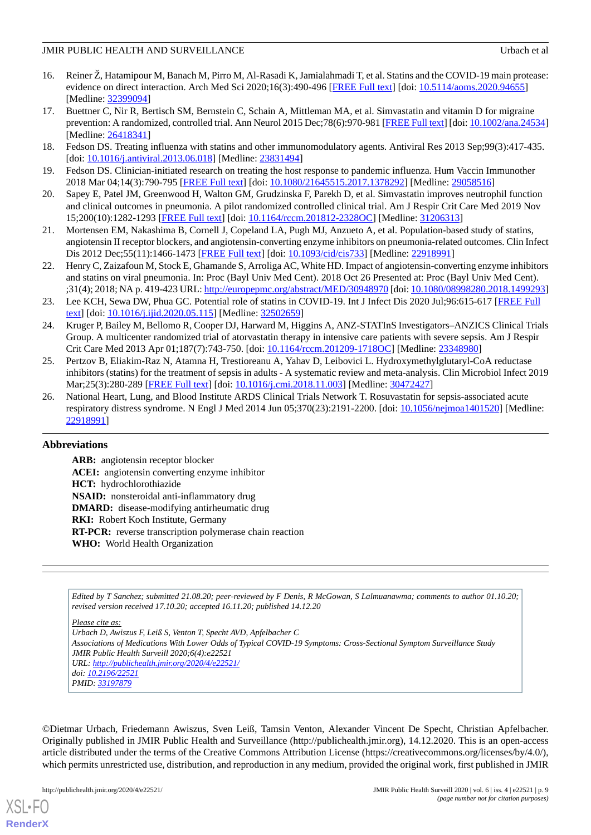#### JMIR PUBLIC HEALTH AND SURVEILLANCE USE AND SURVEILLANCE USE A LOCAL CHARGE USE AND LOCAL CHARGE USE AND SURVEILLANCE

- <span id="page-8-0"></span>16. Reiner Ž, Hatamipour M, Banach M, Pirro M, Al-Rasadi K, Jamialahmadi T, et al. Statins and the COVID-19 main protease: evidence on direct interaction. Arch Med Sci 2020;16(3):490-496 [[FREE Full text](https://doi.org/10.5114/aoms.2020.94655)] [doi: [10.5114/aoms.2020.94655\]](http://dx.doi.org/10.5114/aoms.2020.94655) [Medline: [32399094](http://www.ncbi.nlm.nih.gov/entrez/query.fcgi?cmd=Retrieve&db=PubMed&list_uids=32399094&dopt=Abstract)]
- <span id="page-8-1"></span>17. Buettner C, Nir R, Bertisch SM, Bernstein C, Schain A, Mittleman MA, et al. Simvastatin and vitamin D for migraine prevention: A randomized, controlled trial. Ann Neurol 2015 Dec;78(6):970-981 [\[FREE Full text](http://europepmc.org/abstract/MED/26418341)] [doi: [10.1002/ana.24534\]](http://dx.doi.org/10.1002/ana.24534) [Medline: [26418341](http://www.ncbi.nlm.nih.gov/entrez/query.fcgi?cmd=Retrieve&db=PubMed&list_uids=26418341&dopt=Abstract)]
- <span id="page-8-3"></span><span id="page-8-2"></span>18. Fedson DS. Treating influenza with statins and other immunomodulatory agents. Antiviral Res 2013 Sep;99(3):417-435. [doi: [10.1016/j.antiviral.2013.06.018](http://dx.doi.org/10.1016/j.antiviral.2013.06.018)] [Medline: [23831494\]](http://www.ncbi.nlm.nih.gov/entrez/query.fcgi?cmd=Retrieve&db=PubMed&list_uids=23831494&dopt=Abstract)
- <span id="page-8-4"></span>19. Fedson DS. Clinician-initiated research on treating the host response to pandemic influenza. Hum Vaccin Immunother 2018 Mar 04;14(3):790-795 [[FREE Full text\]](http://europepmc.org/abstract/MED/29058516) [doi: [10.1080/21645515.2017.1378292\]](http://dx.doi.org/10.1080/21645515.2017.1378292) [Medline: [29058516](http://www.ncbi.nlm.nih.gov/entrez/query.fcgi?cmd=Retrieve&db=PubMed&list_uids=29058516&dopt=Abstract)]
- 20. Sapey E, Patel JM, Greenwood H, Walton GM, Grudzinska F, Parekh D, et al. Simvastatin improves neutrophil function and clinical outcomes in pneumonia. A pilot randomized controlled clinical trial. Am J Respir Crit Care Med 2019 Nov 15;200(10):1282-1293 [[FREE Full text](http://europepmc.org/abstract/MED/31206313)] [doi: [10.1164/rccm.201812-2328OC\]](http://dx.doi.org/10.1164/rccm.201812-2328OC) [Medline: [31206313](http://www.ncbi.nlm.nih.gov/entrez/query.fcgi?cmd=Retrieve&db=PubMed&list_uids=31206313&dopt=Abstract)]
- <span id="page-8-5"></span>21. Mortensen EM, Nakashima B, Cornell J, Copeland LA, Pugh MJ, Anzueto A, et al. Population-based study of statins, angiotensin II receptor blockers, and angiotensin-converting enzyme inhibitors on pneumonia-related outcomes. Clin Infect Dis 2012 Dec;55(11):1466-1473 [[FREE Full text](http://europepmc.org/abstract/MED/22918991)] [doi: [10.1093/cid/cis733\]](http://dx.doi.org/10.1093/cid/cis733) [Medline: [22918991\]](http://www.ncbi.nlm.nih.gov/entrez/query.fcgi?cmd=Retrieve&db=PubMed&list_uids=22918991&dopt=Abstract)
- <span id="page-8-6"></span>22. Henry C, Zaizafoun M, Stock E, Ghamande S, Arroliga AC, White HD. Impact of angiotensin-converting enzyme inhibitors and statins on viral pneumonia. In: Proc (Bayl Univ Med Cent). 2018 Oct 26 Presented at: Proc (Bayl Univ Med Cent). ;31(4); 2018; NA p. 419-423 URL:<http://europepmc.org/abstract/MED/30948970> [doi: [10.1080/08998280.2018.1499293](http://dx.doi.org/10.1080/08998280.2018.1499293)]
- <span id="page-8-7"></span>23. Lee KCH, Sewa DW, Phua GC. Potential role of statins in COVID-19. Int J Infect Dis 2020 Jul;96:615-617 [[FREE Full](https://linkinghub.elsevier.com/retrieve/pii/S1201-9712(20)30422-7) [text](https://linkinghub.elsevier.com/retrieve/pii/S1201-9712(20)30422-7)] [doi: [10.1016/j.ijid.2020.05.115\]](http://dx.doi.org/10.1016/j.ijid.2020.05.115) [Medline: [32502659\]](http://www.ncbi.nlm.nih.gov/entrez/query.fcgi?cmd=Retrieve&db=PubMed&list_uids=32502659&dopt=Abstract)
- <span id="page-8-8"></span>24. Kruger P, Bailey M, Bellomo R, Cooper DJ, Harward M, Higgins A, ANZ-STATInS Investigators–ANZICS Clinical Trials Group. A multicenter randomized trial of atorvastatin therapy in intensive care patients with severe sepsis. Am J Respir Crit Care Med 2013 Apr 01;187(7):743-750. [doi: [10.1164/rccm.201209-1718OC](http://dx.doi.org/10.1164/rccm.201209-1718OC)] [Medline: [23348980](http://www.ncbi.nlm.nih.gov/entrez/query.fcgi?cmd=Retrieve&db=PubMed&list_uids=23348980&dopt=Abstract)]
- <span id="page-8-9"></span>25. Pertzov B, Eliakim-Raz N, Atamna H, Trestioreanu A, Yahav D, Leibovici L. Hydroxymethylglutaryl-CoA reductase inhibitors (statins) for the treatment of sepsis in adults - A systematic review and meta-analysis. Clin Microbiol Infect 2019 Mar;25(3):280-289 [[FREE Full text\]](https://linkinghub.elsevier.com/retrieve/pii/S1198-743X(18)30729-8) [doi: [10.1016/j.cmi.2018.11.003](http://dx.doi.org/10.1016/j.cmi.2018.11.003)] [Medline: [30472427](http://www.ncbi.nlm.nih.gov/entrez/query.fcgi?cmd=Retrieve&db=PubMed&list_uids=30472427&dopt=Abstract)]
- 26. National Heart, Lung, and Blood Institute ARDS Clinical Trials Network T. Rosuvastatin for sepsis-associated acute respiratory distress syndrome. N Engl J Med 2014 Jun 05;370(23):2191-2200. [doi: [10.1056/nejmoa1401520](http://dx.doi.org/10.1056/nejmoa1401520)] [Medline: [22918991](http://www.ncbi.nlm.nih.gov/entrez/query.fcgi?cmd=Retrieve&db=PubMed&list_uids=22918991&dopt=Abstract)]

#### **Abbreviations**

**ARB:** angiotensin receptor blocker **ACEI:** angiotensin converting enzyme inhibitor **HCT:** hydrochlorothiazide **NSAID:** nonsteroidal anti-inflammatory drug **DMARD:** disease-modifying antirheumatic drug **RKI:** Robert Koch Institute, Germany **RT-PCR:** reverse transcription polymerase chain reaction **WHO:** World Health Organization

*Edited by T Sanchez; submitted 21.08.20; peer-reviewed by F Denis, R McGowan, S Lalmuanawma; comments to author 01.10.20; revised version received 17.10.20; accepted 16.11.20; published 14.12.20*

*Please cite as:*

*Urbach D, Awiszus F, Leiß S, Venton T, Specht AVD, Apfelbacher C Associations of Medications With Lower Odds of Typical COVID-19 Symptoms: Cross-Sectional Symptom Surveillance Study JMIR Public Health Surveill 2020;6(4):e22521 URL: <http://publichealth.jmir.org/2020/4/e22521/> doi: [10.2196/22521](http://dx.doi.org/10.2196/22521) PMID: [33197879](http://www.ncbi.nlm.nih.gov/entrez/query.fcgi?cmd=Retrieve&db=PubMed&list_uids=33197879&dopt=Abstract)*

©Dietmar Urbach, Friedemann Awiszus, Sven Leiß, Tamsin Venton, Alexander Vincent De Specht, Christian Apfelbacher. Originally published in JMIR Public Health and Surveillance (http://publichealth.jmir.org), 14.12.2020. This is an open-access article distributed under the terms of the Creative Commons Attribution License (https://creativecommons.org/licenses/by/4.0/), which permits unrestricted use, distribution, and reproduction in any medium, provided the original work, first published in JMIR